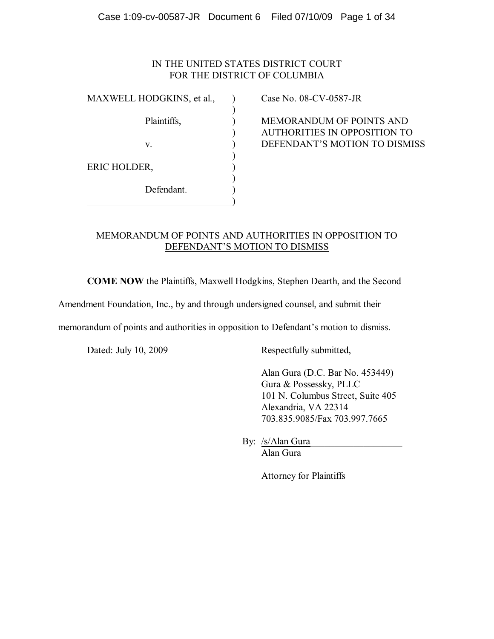## IN THE UNITED STATES DISTRICT COURT FOR THE DISTRICT OF COLUMBIA

| MAXWELL HODGKINS, et al., |  |  |  |  |  |  |  |  |  |  |  |
|---------------------------|--|--|--|--|--|--|--|--|--|--|--|
| Plaintiffs,               |  |  |  |  |  |  |  |  |  |  |  |
| V.                        |  |  |  |  |  |  |  |  |  |  |  |
| ERIC HOLDER,              |  |  |  |  |  |  |  |  |  |  |  |
| Defendant.                |  |  |  |  |  |  |  |  |  |  |  |
|                           |  |  |  |  |  |  |  |  |  |  |  |

Case No. 08-CV-0587-JR

MEMORANDUM OF POINTS AND ) AUTHORITIES IN OPPOSITION TO DEFENDANT'S MOTION TO DISMISS

## MEMORANDUM OF POINTS AND AUTHORITIES IN OPPOSITION TO DEFENDANT'S MOTION TO DISMISS

**COME NOW** the Plaintiffs, Maxwell Hodgkins, Stephen Dearth, and the Second

Amendment Foundation, Inc., by and through undersigned counsel, and submit their

memorandum of points and authorities in opposition to Defendant's motion to dismiss.

Dated: July 10, 2009 Respectfully submitted,

Alan Gura (D.C. Bar No. 453449) Gura & Possessky, PLLC 101 N. Columbus Street, Suite 405 Alexandria, VA 22314 703.835.9085/Fax 703.997.7665

By: /s/Alan Gura\_ Alan Gura

Attorney for Plaintiffs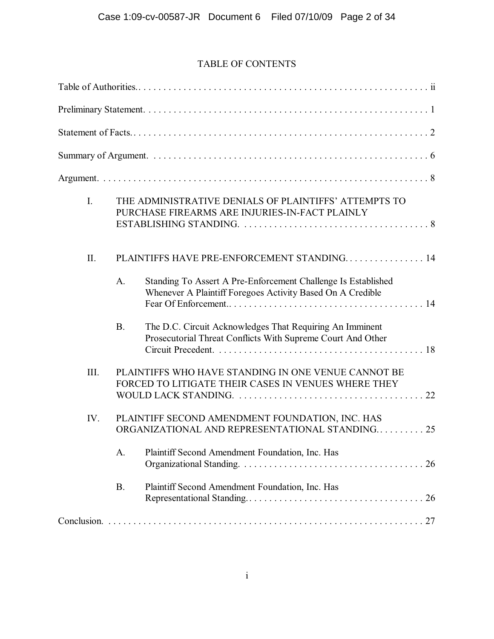## TABLE OF CONTENTS

| $\mathbf{I}$ . |           | THE ADMINISTRATIVE DENIALS OF PLAINTIFFS' ATTEMPTS TO<br>PURCHASE FIREARMS ARE INJURIES-IN-FACT PLAINLY                     |
|----------------|-----------|-----------------------------------------------------------------------------------------------------------------------------|
| II.            |           | PLAINTIFFS HAVE PRE-ENFORCEMENT STANDING 14                                                                                 |
|                | A.        | Standing To Assert A Pre-Enforcement Challenge Is Established<br>Whenever A Plaintiff Foregoes Activity Based On A Credible |
|                | <b>B.</b> | The D.C. Circuit Acknowledges That Requiring An Imminent<br>Prosecutorial Threat Conflicts With Supreme Court And Other     |
| III.           |           | PLAINTIFFS WHO HAVE STANDING IN ONE VENUE CANNOT BE<br>FORCED TO LITIGATE THEIR CASES IN VENUES WHERE THEY                  |
| IV.            |           | PLAINTIFF SECOND AMENDMENT FOUNDATION, INC. HAS<br>ORGANIZATIONAL AND REPRESENTATIONAL STANDING 25                          |
|                | A.        | Plaintiff Second Amendment Foundation, Inc. Has                                                                             |
|                | <b>B.</b> | Plaintiff Second Amendment Foundation, Inc. Has                                                                             |
|                |           |                                                                                                                             |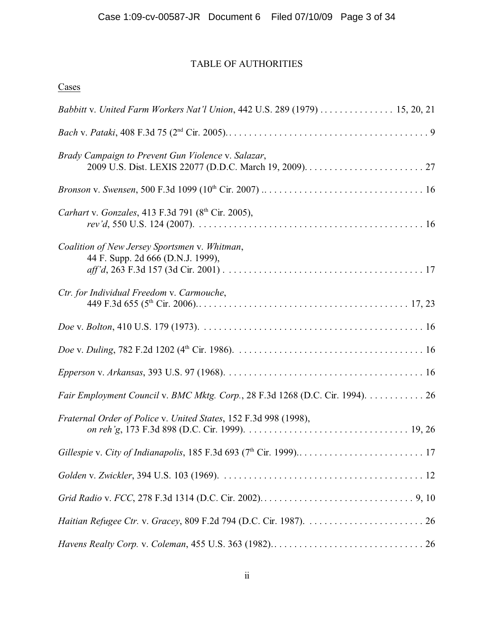## TABLE OF AUTHORITIES

**Cases** 

| Babbitt v. United Farm Workers Nat'l Union, 442 U.S. 289 (1979) 15, 20, 21         |
|------------------------------------------------------------------------------------|
|                                                                                    |
| Brady Campaign to Prevent Gun Violence v. Salazar,                                 |
|                                                                                    |
| Carhart v. Gonzales, 413 F.3d 791 (8th Cir. 2005),                                 |
| Coalition of New Jersey Sportsmen v. Whitman,<br>44 F. Supp. 2d 666 (D.N.J. 1999), |
| Ctr. for Individual Freedom v. Carmouche,                                          |
|                                                                                    |
|                                                                                    |
|                                                                                    |
| Fair Employment Council v. BMC Mktg. Corp., 28 F.3d 1268 (D.C. Cir. 1994). 26      |
| Fraternal Order of Police v. United States, 152 F.3d 998 (1998),                   |
|                                                                                    |
|                                                                                    |
|                                                                                    |
|                                                                                    |
|                                                                                    |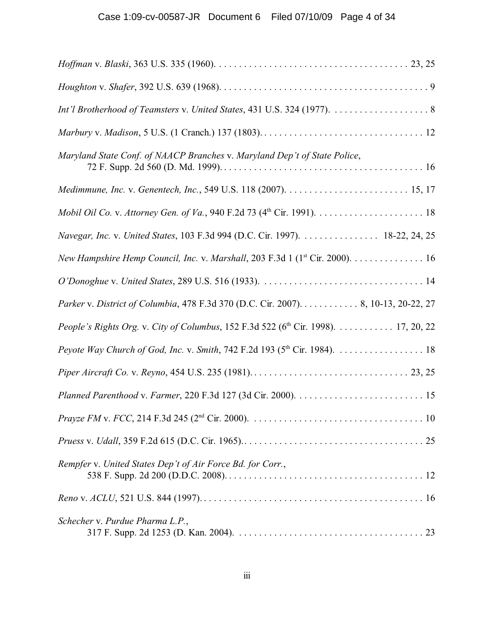| Maryland State Conf. of NAACP Branches v. Maryland Dep't of State Police,                 |
|-------------------------------------------------------------------------------------------|
|                                                                                           |
|                                                                                           |
| Navegar, Inc. v. United States, 103 F.3d 994 (D.C. Cir. 1997). 18-22, 24, 25              |
| New Hampshire Hemp Council, Inc. v. Marshall, 203 F.3d 1 (1 <sup>st</sup> Cir. 2000). 16  |
|                                                                                           |
| Parker v. District of Columbia, 478 F.3d 370 (D.C. Cir. 2007). 8, 10-13, 20-22, 27        |
| <i>People's Rights Org. v. City of Columbus, 152 F.3d 522 (6th Cir. 1998).</i> 17, 20, 22 |
| Peyote Way Church of God, Inc. v. Smith, 742 F.2d 193 ( $5th$ Cir. 1984). 18              |
|                                                                                           |
|                                                                                           |
|                                                                                           |
|                                                                                           |
| Rempfer v. United States Dep't of Air Force Bd. for Corr.,                                |
|                                                                                           |
| Schecher v. Purdue Pharma L.P.,                                                           |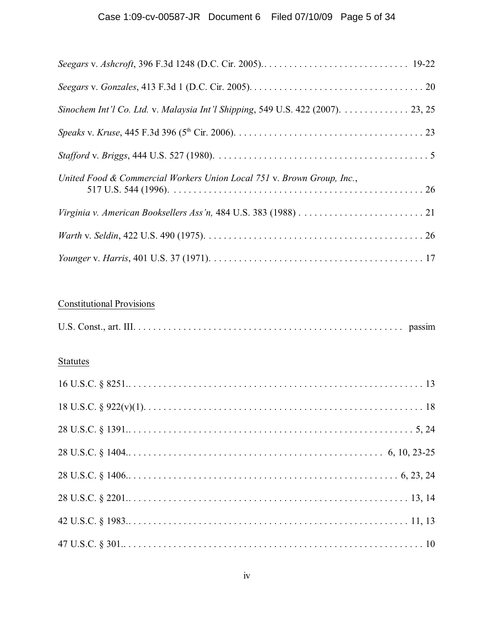| Sinochem Int'l Co. Ltd. v. Malaysia Int'l Shipping, 549 U.S. 422 (2007). 23, 25 |
|---------------------------------------------------------------------------------|
|                                                                                 |
|                                                                                 |
| United Food & Commercial Workers Union Local 751 v. Brown Group, Inc.,          |
|                                                                                 |
|                                                                                 |
|                                                                                 |

# Constitutional Provisions

|--|--|--|--|--|--|--|--|--|

# **Statutes**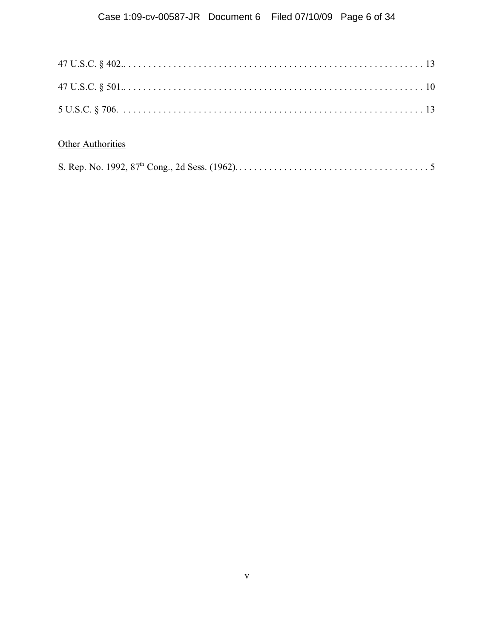# **Other Authorities**

|--|--|--|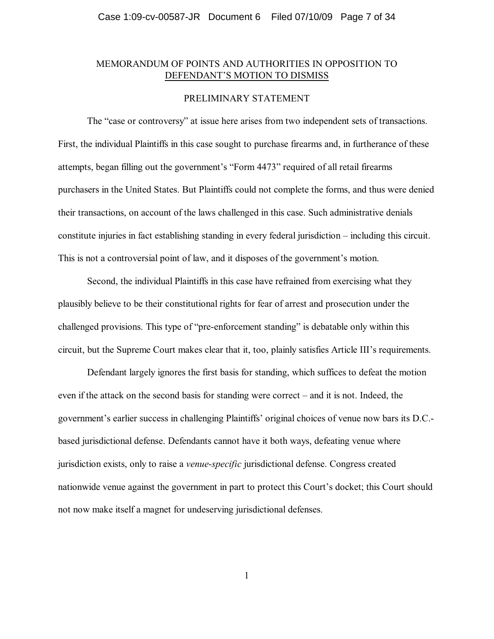## MEMORANDUM OF POINTS AND AUTHORITIES IN OPPOSITION TO DEFENDANT'S MOTION TO DISMISS

#### PRELIMINARY STATEMENT

The "case or controversy" at issue here arises from two independent sets of transactions. First, the individual Plaintiffs in this case sought to purchase firearms and, in furtherance of these attempts, began filling out the government's "Form 4473" required of all retail firearms purchasers in the United States. But Plaintiffs could not complete the forms, and thus were denied their transactions, on account of the laws challenged in this case. Such administrative denials constitute injuries in fact establishing standing in every federal jurisdiction – including this circuit. This is not a controversial point of law, and it disposes of the government's motion.

Second, the individual Plaintiffs in this case have refrained from exercising what they plausibly believe to be their constitutional rights for fear of arrest and prosecution under the challenged provisions. This type of "pre-enforcement standing" is debatable only within this circuit, but the Supreme Court makes clear that it, too, plainly satisfies Article III's requirements.

Defendant largely ignores the first basis for standing, which suffices to defeat the motion even if the attack on the second basis for standing were correct – and it is not. Indeed, the government's earlier success in challenging Plaintiffs' original choices of venue now bars its D.C. based jurisdictional defense. Defendants cannot have it both ways, defeating venue where jurisdiction exists, only to raise a *venue-specific* jurisdictional defense. Congress created nationwide venue against the government in part to protect this Court's docket; this Court should not now make itself a magnet for undeserving jurisdictional defenses.

1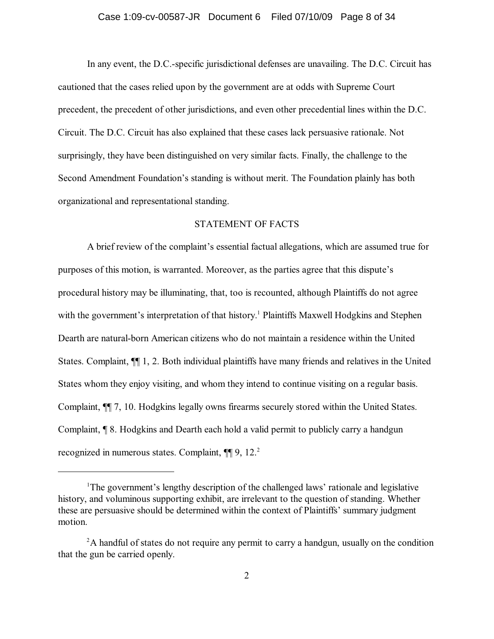#### Case 1:09-cv-00587-JR Document 6 Filed 07/10/09 Page 8 of 34

In any event, the D.C.-specific jurisdictional defenses are unavailing. The D.C. Circuit has cautioned that the cases relied upon by the government are at odds with Supreme Court precedent, the precedent of other jurisdictions, and even other precedential lines within the D.C. Circuit. The D.C. Circuit has also explained that these cases lack persuasive rationale. Not surprisingly, they have been distinguished on very similar facts. Finally, the challenge to the Second Amendment Foundation's standing is without merit. The Foundation plainly has both organizational and representational standing.

#### STATEMENT OF FACTS

A brief review of the complaint's essential factual allegations, which are assumed true for purposes of this motion, is warranted. Moreover, as the parties agree that this dispute's procedural history may be illuminating, that, too is recounted, although Plaintiffs do not agree with the government's interpretation of that history.<sup>1</sup> Plaintiffs Maxwell Hodgkins and Stephen Dearth are natural-born American citizens who do not maintain a residence within the United States. Complaint, ¶¶ 1, 2. Both individual plaintiffs have many friends and relatives in the United States whom they enjoy visiting, and whom they intend to continue visiting on a regular basis. Complaint, ¶¶ 7, 10. Hodgkins legally owns firearms securely stored within the United States. Complaint, ¶ 8. Hodgkins and Dearth each hold a valid permit to publicly carry a handgun recognized in numerous states. Complaint,  $\P$ [9, 12.<sup>2</sup>]

<sup>&</sup>lt;sup>1</sup>The government's lengthy description of the challenged laws' rationale and legislative history, and voluminous supporting exhibit, are irrelevant to the question of standing. Whether these are persuasive should be determined within the context of Plaintiffs' summary judgment motion.

 $A$  handful of states do not require any permit to carry a handgun, usually on the condition that the gun be carried openly.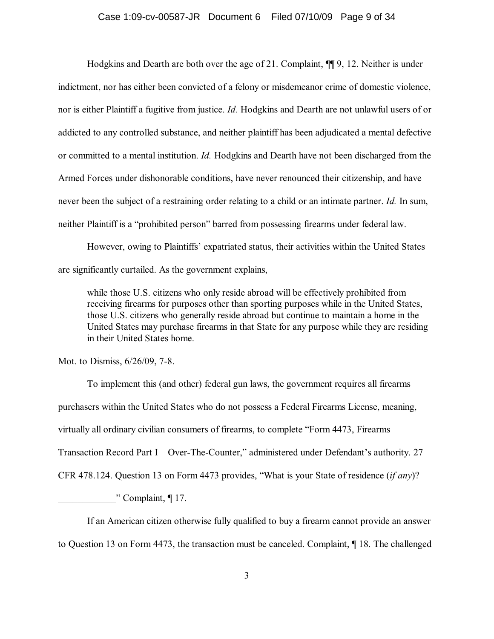Hodgkins and Dearth are both over the age of 21. Complaint, ¶¶ 9, 12. Neither is under indictment, nor has either been convicted of a felony or misdemeanor crime of domestic violence, nor is either Plaintiff a fugitive from justice. *Id.* Hodgkins and Dearth are not unlawful users of or addicted to any controlled substance, and neither plaintiff has been adjudicated a mental defective or committed to a mental institution. *Id.* Hodgkins and Dearth have not been discharged from the Armed Forces under dishonorable conditions, have never renounced their citizenship, and have never been the subject of a restraining order relating to a child or an intimate partner. *Id.* In sum, neither Plaintiff is a "prohibited person" barred from possessing firearms under federal law.

However, owing to Plaintiffs' expatriated status, their activities within the United States are significantly curtailed. As the government explains,

while those U.S. citizens who only reside abroad will be effectively prohibited from receiving firearms for purposes other than sporting purposes while in the United States, those U.S. citizens who generally reside abroad but continue to maintain a home in the United States may purchase firearms in that State for any purpose while they are residing in their United States home.

Mot. to Dismiss, 6/26/09, 7-8.

To implement this (and other) federal gun laws, the government requires all firearms purchasers within the United States who do not possess a Federal Firearms License, meaning, virtually all ordinary civilian consumers of firearms, to complete "Form 4473, Firearms Transaction Record Part I – Over-The-Counter," administered under Defendant's authority. 27 CFR 478.124. Question 13 on Form 4473 provides, "What is your State of residence (*if any*)?

 $"$  Complaint, ¶ 17.

If an American citizen otherwise fully qualified to buy a firearm cannot provide an answer to Question 13 on Form 4473, the transaction must be canceled. Complaint, ¶ 18. The challenged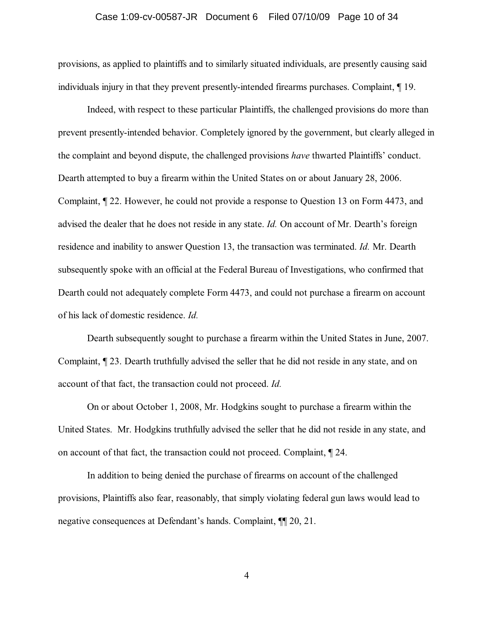#### Case 1:09-cv-00587-JR Document 6 Filed 07/10/09 Page 10 of 34

provisions, as applied to plaintiffs and to similarly situated individuals, are presently causing said individuals injury in that they prevent presently-intended firearms purchases. Complaint, ¶ 19.

Indeed, with respect to these particular Plaintiffs, the challenged provisions do more than prevent presently-intended behavior. Completely ignored by the government, but clearly alleged in the complaint and beyond dispute, the challenged provisions *have* thwarted Plaintiffs' conduct. Dearth attempted to buy a firearm within the United States on or about January 28, 2006. Complaint, ¶ 22. However, he could not provide a response to Question 13 on Form 4473, and advised the dealer that he does not reside in any state. *Id.* On account of Mr. Dearth's foreign residence and inability to answer Question 13, the transaction was terminated. *Id.* Mr. Dearth subsequently spoke with an official at the Federal Bureau of Investigations, who confirmed that Dearth could not adequately complete Form 4473, and could not purchase a firearm on account of his lack of domestic residence. *Id.*

Dearth subsequently sought to purchase a firearm within the United States in June, 2007. Complaint, ¶ 23. Dearth truthfully advised the seller that he did not reside in any state, and on account of that fact, the transaction could not proceed. *Id.*

On or about October 1, 2008, Mr. Hodgkins sought to purchase a firearm within the United States. Mr. Hodgkins truthfully advised the seller that he did not reside in any state, and on account of that fact, the transaction could not proceed. Complaint, ¶ 24.

In addition to being denied the purchase of firearms on account of the challenged provisions, Plaintiffs also fear, reasonably, that simply violating federal gun laws would lead to negative consequences at Defendant's hands. Complaint, ¶¶ 20, 21.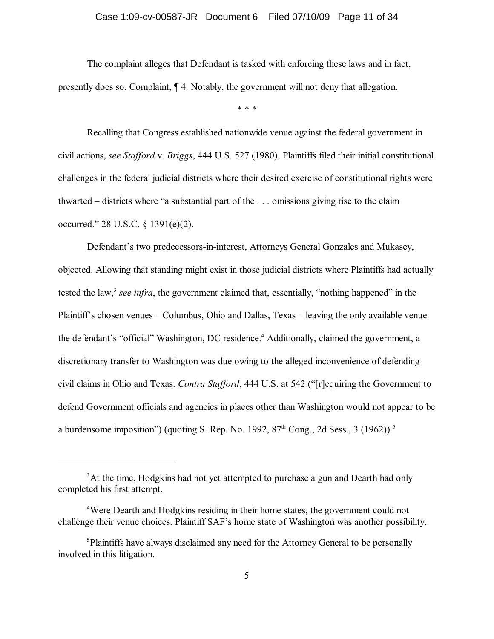#### Case 1:09-cv-00587-JR Document 6 Filed 07/10/09 Page 11 of 34

The complaint alleges that Defendant is tasked with enforcing these laws and in fact, presently does so. Complaint, ¶ 4. Notably, the government will not deny that allegation.

\* \* \*

Recalling that Congress established nationwide venue against the federal government in civil actions, *see Stafford* v. *Briggs*, 444 U.S. 527 (1980), Plaintiffs filed their initial constitutional challenges in the federal judicial districts where their desired exercise of constitutional rights were thwarted – districts where "a substantial part of the . . . omissions giving rise to the claim occurred." 28 U.S.C. § 1391(e)(2).

Defendant's two predecessors-in-interest, Attorneys General Gonzales and Mukasey, objected. Allowing that standing might exist in those judicial districts where Plaintiffs had actually tested the law,<sup>3</sup> see infra, the government claimed that, essentially, "nothing happened" in the Plaintiff's chosen venues – Columbus, Ohio and Dallas, Texas – leaving the only available venue the defendant's "official" Washington, DC residence.<sup>4</sup> Additionally, claimed the government, a discretionary transfer to Washington was due owing to the alleged inconvenience of defending civil claims in Ohio and Texas. *Contra Stafford*, 444 U.S. at 542 ("[r]equiring the Government to defend Government officials and agencies in places other than Washington would not appear to be a burdensome imposition") (quoting S. Rep. No. 1992,  $87<sup>th</sup>$  Cong., 2d Sess., 3 (1962)).<sup>5</sup>

<sup>&</sup>lt;sup>3</sup>At the time, Hodgkins had not yet attempted to purchase a gun and Dearth had only completed his first attempt.

<sup>&</sup>lt;sup>4</sup>Were Dearth and Hodgkins residing in their home states, the government could not challenge their venue choices. Plaintiff SAF's home state of Washington was another possibility.

<sup>&</sup>lt;sup>5</sup>Plaintiffs have always disclaimed any need for the Attorney General to be personally involved in this litigation.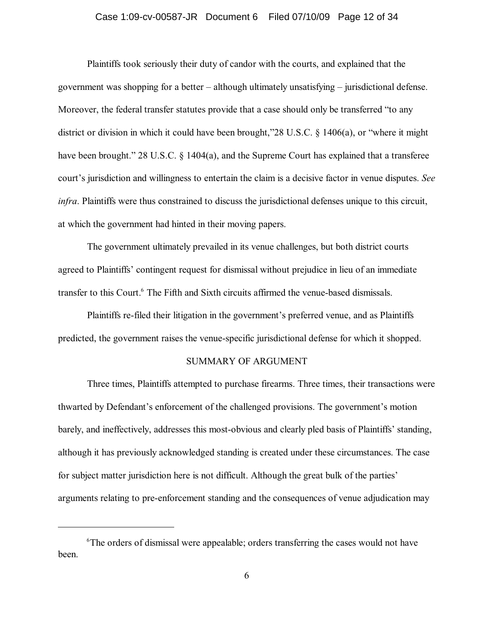#### Case 1:09-cv-00587-JR Document 6 Filed 07/10/09 Page 12 of 34

Plaintiffs took seriously their duty of candor with the courts, and explained that the government was shopping for a better – although ultimately unsatisfying – jurisdictional defense. Moreover, the federal transfer statutes provide that a case should only be transferred "to any district or division in which it could have been brought,"28 U.S.C. § 1406(a), or "where it might have been brought." 28 U.S.C. § 1404(a), and the Supreme Court has explained that a transferee court's jurisdiction and willingness to entertain the claim is a decisive factor in venue disputes. *See infra*. Plaintiffs were thus constrained to discuss the jurisdictional defenses unique to this circuit, at which the government had hinted in their moving papers.

The government ultimately prevailed in its venue challenges, but both district courts agreed to Plaintiffs' contingent request for dismissal without prejudice in lieu of an immediate transfer to this Court.<sup>6</sup> The Fifth and Sixth circuits affirmed the venue-based dismissals.

Plaintiffs re-filed their litigation in the government's preferred venue, and as Plaintiffs predicted, the government raises the venue-specific jurisdictional defense for which it shopped.

#### SUMMARY OF ARGUMENT

Three times, Plaintiffs attempted to purchase firearms. Three times, their transactions were thwarted by Defendant's enforcement of the challenged provisions. The government's motion barely, and ineffectively, addresses this most-obvious and clearly pled basis of Plaintiffs' standing, although it has previously acknowledged standing is created under these circumstances. The case for subject matter jurisdiction here is not difficult. Although the great bulk of the parties' arguments relating to pre-enforcement standing and the consequences of venue adjudication may

<sup>&</sup>lt;sup>6</sup>The orders of dismissal were appealable; orders transferring the cases would not have been.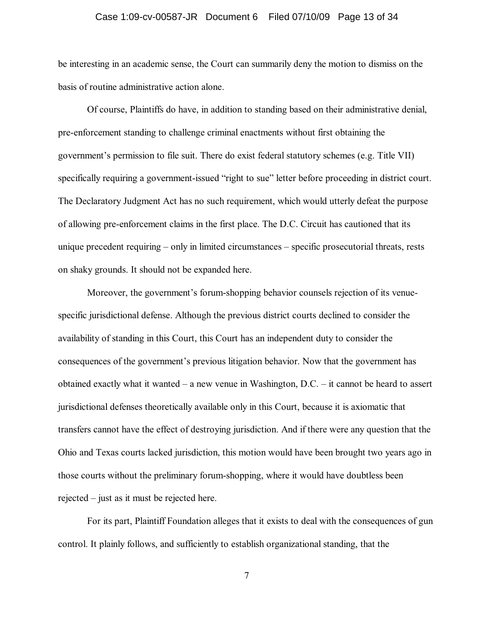#### Case 1:09-cv-00587-JR Document 6 Filed 07/10/09 Page 13 of 34

be interesting in an academic sense, the Court can summarily deny the motion to dismiss on the basis of routine administrative action alone.

Of course, Plaintiffs do have, in addition to standing based on their administrative denial, pre-enforcement standing to challenge criminal enactments without first obtaining the government's permission to file suit. There do exist federal statutory schemes (e.g. Title VII) specifically requiring a government-issued "right to sue" letter before proceeding in district court. The Declaratory Judgment Act has no such requirement, which would utterly defeat the purpose of allowing pre-enforcement claims in the first place. The D.C. Circuit has cautioned that its unique precedent requiring – only in limited circumstances – specific prosecutorial threats, rests on shaky grounds. It should not be expanded here.

Moreover, the government's forum-shopping behavior counsels rejection of its venuespecific jurisdictional defense. Although the previous district courts declined to consider the availability of standing in this Court, this Court has an independent duty to consider the consequences of the government's previous litigation behavior. Now that the government has obtained exactly what it wanted – a new venue in Washington, D.C. – it cannot be heard to assert jurisdictional defenses theoretically available only in this Court, because it is axiomatic that transfers cannot have the effect of destroying jurisdiction. And if there were any question that the Ohio and Texas courts lacked jurisdiction, this motion would have been brought two years ago in those courts without the preliminary forum-shopping, where it would have doubtless been rejected – just as it must be rejected here.

For its part, Plaintiff Foundation alleges that it exists to deal with the consequences of gun control. It plainly follows, and sufficiently to establish organizational standing, that the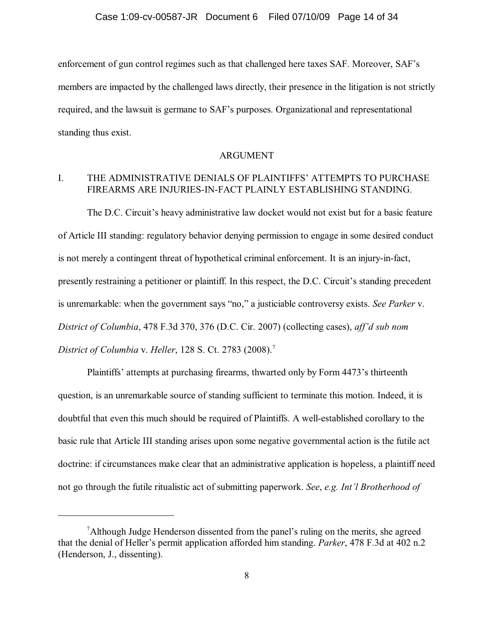enforcement of gun control regimes such as that challenged here taxes SAF. Moreover, SAF's members are impacted by the challenged laws directly, their presence in the litigation is not strictly required, and the lawsuit is germane to SAF's purposes. Organizational and representational standing thus exist.

#### ARGUMENT

## I. THE ADMINISTRATIVE DENIALS OF PLAINTIFFS' ATTEMPTS TO PURCHASE FIREARMS ARE INJURIES-IN-FACT PLAINLY ESTABLISHING STANDING.

The D.C. Circuit's heavy administrative law docket would not exist but for a basic feature of Article III standing: regulatory behavior denying permission to engage in some desired conduct is not merely a contingent threat of hypothetical criminal enforcement. It is an injury-in-fact, presently restraining a petitioner or plaintiff. In this respect, the D.C. Circuit's standing precedent is unremarkable: when the government says "no," a justiciable controversy exists. *See Parker* v. *District of Columbia*, 478 F.3d 370, 376 (D.C. Cir. 2007) (collecting cases), *aff'd sub nom District of Columbia* v. *Heller*, 128 S. Ct. 2783 (2008). 7

Plaintiffs' attempts at purchasing firearms, thwarted only by Form 4473's thirteenth question, is an unremarkable source of standing sufficient to terminate this motion. Indeed, it is doubtful that even this much should be required of Plaintiffs. A well-established corollary to the basic rule that Article III standing arises upon some negative governmental action is the futile act doctrine: if circumstances make clear that an administrative application is hopeless, a plaintiff need not go through the futile ritualistic act of submitting paperwork. *See*, *e.g. Int'l Brotherhood of*

<sup>&</sup>lt;sup>7</sup> Although Judge Henderson dissented from the panel's ruling on the merits, she agreed that the denial of Heller's permit application afforded him standing. *Parker*, 478 F.3d at 402 n.2 (Henderson, J., dissenting).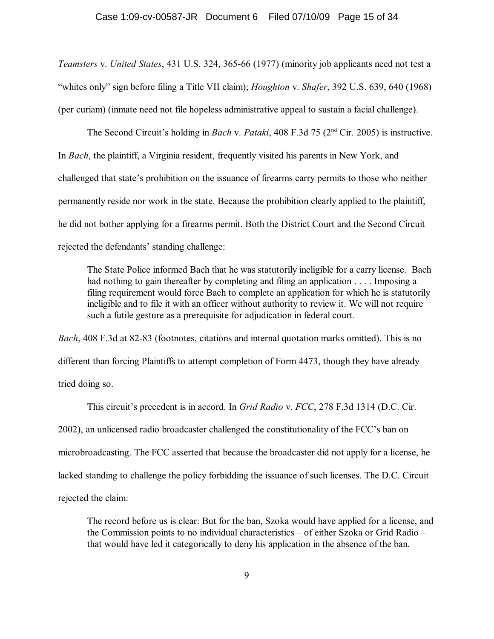#### Case 1:09-cv-00587-JR Document 6 Filed 07/10/09 Page 15 of 34

*Teamsters* v. *United States*, 431 U.S. 324, 365-66 (1977) (minority job applicants need not test a "whites only" sign before filing a Title VII claim); *Houghton* v. *Shafer*, 392 U.S. 639, 640 (1968) (per curiam) (inmate need not file hopeless administrative appeal to sustain a facial challenge).

The Second Circuit's holding in *Bach v. Pataki*, 408 F.3d 75 (2<sup>nd</sup> Cir. 2005) is instructive. In *Bach*, the plaintiff, a Virginia resident, frequently visited his parents in New York, and challenged that state's prohibition on the issuance of firearms carry permits to those who neither permanently reside nor work in the state. Because the prohibition clearly applied to the plaintiff, he did not bother applying for a firearms permit. Both the District Court and the Second Circuit rejected the defendants' standing challenge:

The State Police informed Bach that he was statutorily ineligible for a carry license. Bach had nothing to gain thereafter by completing and filing an application . . . . Imposing a filing requirement would force Bach to complete an application for which he is statutorily ineligible and to file it with an officer without authority to review it. We will not require such a futile gesture as a prerequisite for adjudication in federal court.

*Bach*, 408 F.3d at 82-83 (footnotes, citations and internal quotation marks omitted). This is no different than forcing Plaintiffs to attempt completion of Form 4473, though they have already tried doing so.

This circuit's precedent is in accord. In *Grid Radio* v. *FCC*, 278 F.3d 1314 (D.C. Cir. 2002), an unlicensed radio broadcaster challenged the constitutionality of the FCC's ban on microbroadcasting. The FCC asserted that because the broadcaster did not apply for a license, he lacked standing to challenge the policy forbidding the issuance of such licenses. The D.C. Circuit rejected the claim:

The record before us is clear: But for the ban, Szoka would have applied for a license, and the Commission points to no individual characteristics – of either Szoka or Grid Radio – that would have led it categorically to deny his application in the absence of the ban.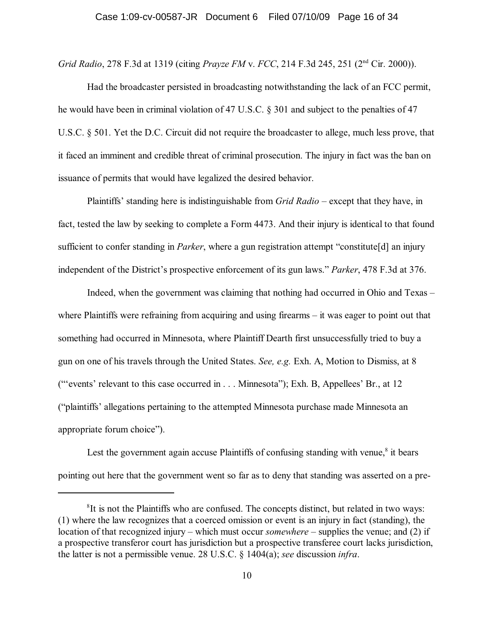*Grid Radio*, 278 F.3d at 1319 (citing *Prayze FM v. FCC*, 214 F.3d 245, 251 (2<sup>nd</sup> Cir. 2000)).

Had the broadcaster persisted in broadcasting notwithstanding the lack of an FCC permit, he would have been in criminal violation of 47 U.S.C. § 301 and subject to the penalties of 47 U.S.C. § 501. Yet the D.C. Circuit did not require the broadcaster to allege, much less prove, that it faced an imminent and credible threat of criminal prosecution. The injury in fact was the ban on issuance of permits that would have legalized the desired behavior.

Plaintiffs' standing here is indistinguishable from *Grid Radio* – except that they have, in fact, tested the law by seeking to complete a Form 4473. And their injury is identical to that found sufficient to confer standing in *Parker*, where a gun registration attempt "constitute[d] an injury independent of the District's prospective enforcement of its gun laws." *Parker*, 478 F.3d at 376.

Indeed, when the government was claiming that nothing had occurred in Ohio and Texas – where Plaintiffs were refraining from acquiring and using firearms – it was eager to point out that something had occurred in Minnesota, where Plaintiff Dearth first unsuccessfully tried to buy a gun on one of his travels through the United States. *See, e.g.* Exh. A, Motion to Dismiss, at 8 ("'events' relevant to this case occurred in . . . Minnesota"); Exh. B, Appellees' Br., at 12 ("plaintiffs' allegations pertaining to the attempted Minnesota purchase made Minnesota an appropriate forum choice").

Lest the government again accuse Plaintiffs of confusing standing with venue, $\delta$  it bears pointing out here that the government went so far as to deny that standing was asserted on a pre-

 ${}^{8}$ It is not the Plaintiffs who are confused. The concepts distinct, but related in two ways: (1) where the law recognizes that a coerced omission or event is an injury in fact (standing), the location of that recognized injury – which must occur *somewhere* – supplies the venue; and (2) if a prospective transferor court has jurisdiction but a prospective transferee court lacks jurisdiction, the latter is not a permissible venue. 28 U.S.C. § 1404(a); *see* discussion *infra*.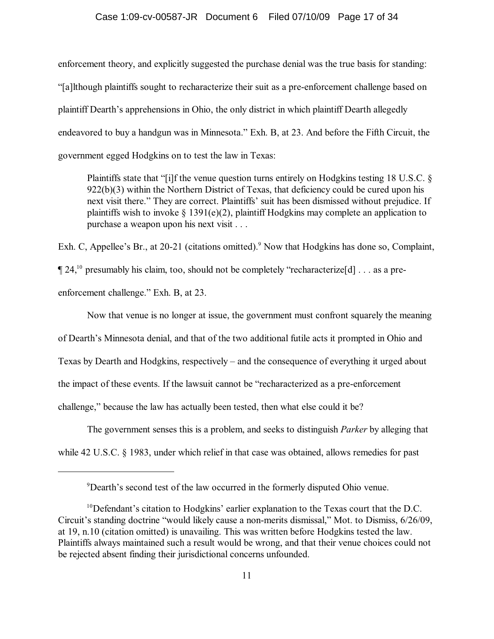#### Case 1:09-cv-00587-JR Document 6 Filed 07/10/09 Page 17 of 34

enforcement theory, and explicitly suggested the purchase denial was the true basis for standing: "[a]lthough plaintiffs sought to recharacterize their suit as a pre-enforcement challenge based on plaintiff Dearth's apprehensions in Ohio, the only district in which plaintiff Dearth allegedly endeavored to buy a handgun was in Minnesota." Exh. B, at 23. And before the Fifth Circuit, the government egged Hodgkins on to test the law in Texas:

Plaintiffs state that "[i]f the venue question turns entirely on Hodgkins testing 18 U.S.C. §  $922(b)(3)$  within the Northern District of Texas, that deficiency could be cured upon his next visit there." They are correct. Plaintiffs' suit has been dismissed without prejudice. If plaintiffs wish to invoke  $\S 1391(e)(2)$ , plaintiff Hodgkins may complete an application to purchase a weapon upon his next visit . . .

Exh. C, Appellee's Br., at 20-21 (citations omitted).<sup>9</sup> Now that Hodgkins has done so, Complaint,  $\P$  24,<sup>10</sup> presumably his claim, too, should not be completely "recharacterize[d] . . . as a preenforcement challenge." Exh. B, at 23.

Now that venue is no longer at issue, the government must confront squarely the meaning of Dearth's Minnesota denial, and that of the two additional futile acts it prompted in Ohio and Texas by Dearth and Hodgkins, respectively – and the consequence of everything it urged about the impact of these events. If the lawsuit cannot be "recharacterized as a pre-enforcement challenge," because the law has actually been tested, then what else could it be?

The government senses this is a problem, and seeks to distinguish *Parker* by alleging that while 42 U.S.C. § 1983, under which relief in that case was obtained, allows remedies for past

<sup>&</sup>lt;sup>9</sup>Dearth's second test of the law occurred in the formerly disputed Ohio venue.

 $10$  Defendant's citation to Hodgkins' earlier explanation to the Texas court that the D.C. Circuit's standing doctrine "would likely cause a non-merits dismissal," Mot. to Dismiss, 6/26/09, at 19, n.10 (citation omitted) is unavailing. This was written before Hodgkins tested the law. Plaintiffs always maintained such a result would be wrong, and that their venue choices could not be rejected absent finding their jurisdictional concerns unfounded.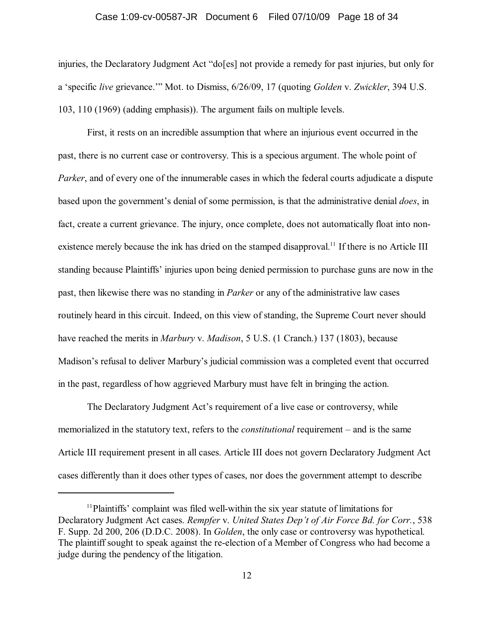#### Case 1:09-cv-00587-JR Document 6 Filed 07/10/09 Page 18 of 34

injuries, the Declaratory Judgment Act "do[es] not provide a remedy for past injuries, but only for a 'specific *live* grievance.'" Mot. to Dismiss, 6/26/09, 17 (quoting *Golden* v. *Zwickler*, 394 U.S. 103, 110 (1969) (adding emphasis)). The argument fails on multiple levels.

First, it rests on an incredible assumption that where an injurious event occurred in the past, there is no current case or controversy. This is a specious argument. The whole point of *Parker*, and of every one of the innumerable cases in which the federal courts adjudicate a dispute based upon the government's denial of some permission, is that the administrative denial *does*, in fact, create a current grievance. The injury, once complete, does not automatically float into nonexistence merely because the ink has dried on the stamped disapproval.<sup>11</sup> If there is no Article III standing because Plaintiffs' injuries upon being denied permission to purchase guns are now in the past, then likewise there was no standing in *Parker* or any of the administrative law cases routinely heard in this circuit. Indeed, on this view of standing, the Supreme Court never should have reached the merits in *Marbury* v. *Madison*, 5 U.S. (1 Cranch.) 137 (1803), because Madison's refusal to deliver Marbury's judicial commission was a completed event that occurred in the past, regardless of how aggrieved Marbury must have felt in bringing the action.

The Declaratory Judgment Act's requirement of a live case or controversy, while memorialized in the statutory text, refers to the *constitutional* requirement – and is the same Article III requirement present in all cases. Article III does not govern Declaratory Judgment Act cases differently than it does other types of cases, nor does the government attempt to describe

<sup>&</sup>lt;sup>11</sup>Plaintiffs' complaint was filed well-within the six year statute of limitations for Declaratory Judgment Act cases. *Rempfer* v. *United States Dep't of Air Force Bd. for Corr.*, 538 F. Supp. 2d 200, 206 (D.D.C. 2008). In *Golden*, the only case or controversy was hypothetical. The plaintiff sought to speak against the re-election of a Member of Congress who had become a judge during the pendency of the litigation.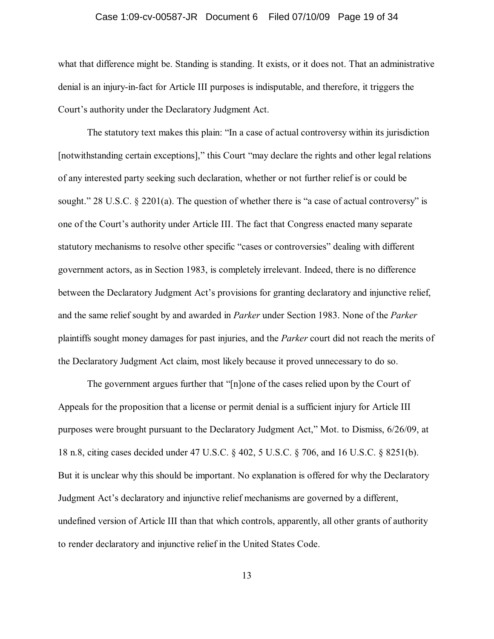#### Case 1:09-cv-00587-JR Document 6 Filed 07/10/09 Page 19 of 34

what that difference might be. Standing is standing. It exists, or it does not. That an administrative denial is an injury-in-fact for Article III purposes is indisputable, and therefore, it triggers the Court's authority under the Declaratory Judgment Act.

The statutory text makes this plain: "In a case of actual controversy within its jurisdiction [notwithstanding certain exceptions]," this Court "may declare the rights and other legal relations of any interested party seeking such declaration, whether or not further relief is or could be sought." 28 U.S.C. § 2201(a). The question of whether there is "a case of actual controversy" is one of the Court's authority under Article III. The fact that Congress enacted many separate statutory mechanisms to resolve other specific "cases or controversies" dealing with different government actors, as in Section 1983, is completely irrelevant. Indeed, there is no difference between the Declaratory Judgment Act's provisions for granting declaratory and injunctive relief, and the same relief sought by and awarded in *Parker* under Section 1983. None of the *Parker* plaintiffs sought money damages for past injuries, and the *Parker* court did not reach the merits of the Declaratory Judgment Act claim, most likely because it proved unnecessary to do so.

The government argues further that "[n]one of the cases relied upon by the Court of Appeals for the proposition that a license or permit denial is a sufficient injury for Article III purposes were brought pursuant to the Declaratory Judgment Act," Mot. to Dismiss, 6/26/09, at 18 n.8, citing cases decided under 47 U.S.C. § 402, 5 U.S.C. § 706, and 16 U.S.C. § 8251(b). But it is unclear why this should be important. No explanation is offered for why the Declaratory Judgment Act's declaratory and injunctive relief mechanisms are governed by a different, undefined version of Article III than that which controls, apparently, all other grants of authority to render declaratory and injunctive relief in the United States Code.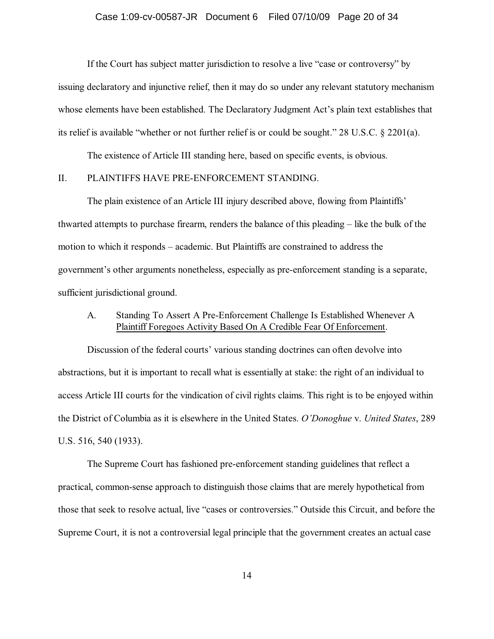#### Case 1:09-cv-00587-JR Document 6 Filed 07/10/09 Page 20 of 34

If the Court has subject matter jurisdiction to resolve a live "case or controversy" by

issuing declaratory and injunctive relief, then it may do so under any relevant statutory mechanism whose elements have been established. The Declaratory Judgment Act's plain text establishes that its relief is available "whether or not further relief is or could be sought." 28 U.S.C. § 2201(a).

The existence of Article III standing here, based on specific events, is obvious.

#### II. PLAINTIFFS HAVE PRE-ENFORCEMENT STANDING.

The plain existence of an Article III injury described above, flowing from Plaintiffs' thwarted attempts to purchase firearm, renders the balance of this pleading – like the bulk of the motion to which it responds – academic. But Plaintiffs are constrained to address the government's other arguments nonetheless, especially as pre-enforcement standing is a separate, sufficient jurisdictional ground.

## A. Standing To Assert A Pre-Enforcement Challenge Is Established Whenever A Plaintiff Foregoes Activity Based On A Credible Fear Of Enforcement.

Discussion of the federal courts' various standing doctrines can often devolve into abstractions, but it is important to recall what is essentially at stake: the right of an individual to access Article III courts for the vindication of civil rights claims. This right is to be enjoyed within the District of Columbia as it is elsewhere in the United States. *O'Donoghue* v. *United States*, 289 U.S. 516, 540 (1933).

The Supreme Court has fashioned pre-enforcement standing guidelines that reflect a practical, common-sense approach to distinguish those claims that are merely hypothetical from those that seek to resolve actual, live "cases or controversies." Outside this Circuit, and before the Supreme Court, it is not a controversial legal principle that the government creates an actual case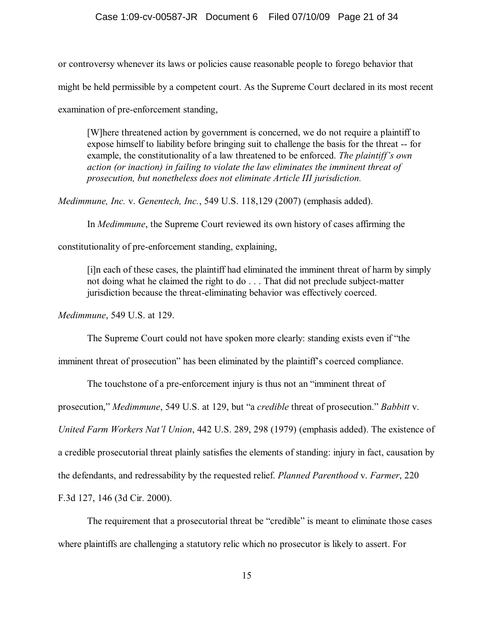or controversy whenever its laws or policies cause reasonable people to forego behavior that might be held permissible by a competent court. As the Supreme Court declared in its most recent examination of pre-enforcement standing,

[W]here threatened action by government is concerned, we do not require a plaintiff to expose himself to liability before bringing suit to challenge the basis for the threat -- for example, the constitutionality of a law threatened to be enforced. *The plaintiff's own action (or inaction) in failing to violate the law eliminates the imminent threat of prosecution, but nonetheless does not eliminate Article III jurisdiction.*

*Medimmune, Inc.* v. *Genentech, Inc.*, 549 U.S. 118,129 (2007) (emphasis added).

In *Medimmune*, the Supreme Court reviewed its own history of cases affirming the

constitutionality of pre-enforcement standing, explaining,

[i]n each of these cases, the plaintiff had eliminated the imminent threat of harm by simply not doing what he claimed the right to do . . . That did not preclude subject-matter jurisdiction because the threat-eliminating behavior was effectively coerced.

*Medimmune*, 549 U.S. at 129.

The Supreme Court could not have spoken more clearly: standing exists even if "the

imminent threat of prosecution" has been eliminated by the plaintiff's coerced compliance.

The touchstone of a pre-enforcement injury is thus not an "imminent threat of

prosecution," *Medimmune*, 549 U.S. at 129, but "a *credible* threat of prosecution." *Babbitt* v.

*United Farm Workers Nat'l Union*, 442 U.S. 289, 298 (1979) (emphasis added). The existence of

a credible prosecutorial threat plainly satisfies the elements of standing: injury in fact, causation by

the defendants, and redressability by the requested relief. *Planned Parenthood* v. *Farmer*, 220

F.3d 127, 146 (3d Cir. 2000).

The requirement that a prosecutorial threat be "credible" is meant to eliminate those cases where plaintiffs are challenging a statutory relic which no prosecutor is likely to assert. For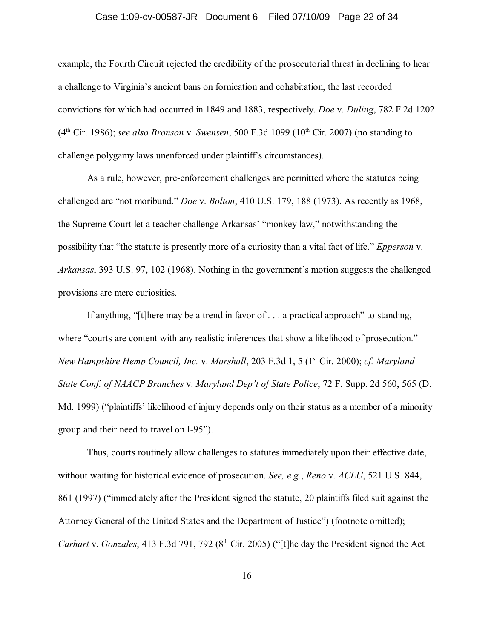#### Case 1:09-cv-00587-JR Document 6 Filed 07/10/09 Page 22 of 34

example, the Fourth Circuit rejected the credibility of the prosecutorial threat in declining to hear a challenge to Virginia's ancient bans on fornication and cohabitation, the last recorded convictions for which had occurred in 1849 and 1883, respectively. *Doe* v. *Duling*, 782 F.2d 1202 (4<sup>th</sup> Cir. 1986); *see also Bronson* v. *Swensen*, 500 F.3d 1099 (10<sup>th</sup> Cir. 2007) (no standing to challenge polygamy laws unenforced under plaintiff's circumstances).

As a rule, however, pre-enforcement challenges are permitted where the statutes being challenged are "not moribund." *Doe* v. *Bolton*, 410 U.S. 179, 188 (1973). As recently as 1968, the Supreme Court let a teacher challenge Arkansas' "monkey law," notwithstanding the possibility that "the statute is presently more of a curiosity than a vital fact of life." *Epperson* v. *Arkansas*, 393 U.S. 97, 102 (1968). Nothing in the government's motion suggests the challenged provisions are mere curiosities.

If anything, "[t]here may be a trend in favor of . . . a practical approach" to standing, where "courts are content with any realistic inferences that show a likelihood of prosecution." *New Hampshire Hemp Council, Inc. v. Marshall, 203 F.3d 1, 5 (1<sup>st</sup> Cir. 2000); <i>cf. Maryland State Conf. of NAACP Branches* v. *Maryland Dep't of State Police*, 72 F. Supp. 2d 560, 565 (D. Md. 1999) ("plaintiffs' likelihood of injury depends only on their status as a member of a minority group and their need to travel on I-95").

Thus, courts routinely allow challenges to statutes immediately upon their effective date, without waiting for historical evidence of prosecution. *See, e.g.*, *Reno* v. *ACLU*, 521 U.S. 844, 861 (1997) ("immediately after the President signed the statute, 20 plaintiffs filed suit against the Attorney General of the United States and the Department of Justice") (footnote omitted); *Carhart v. Gonzales*, 413 F.3d 791, 792 ( $8<sup>th</sup>$  Cir. 2005) ("[t]he day the President signed the Act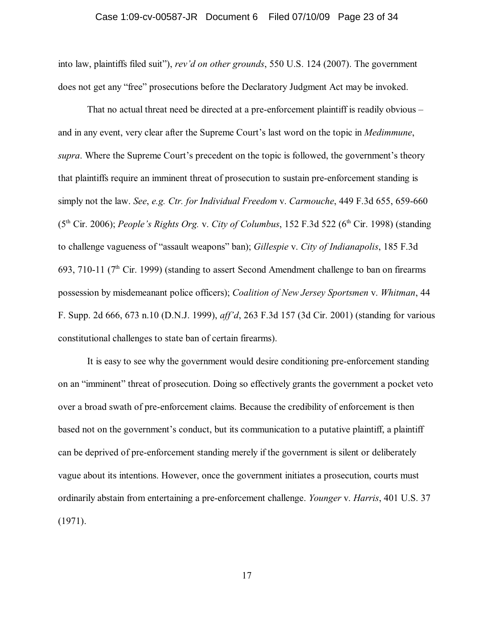#### Case 1:09-cv-00587-JR Document 6 Filed 07/10/09 Page 23 of 34

into law, plaintiffs filed suit"), *rev'd on other grounds*, 550 U.S. 124 (2007). The government does not get any "free" prosecutions before the Declaratory Judgment Act may be invoked.

That no actual threat need be directed at a pre-enforcement plaintiff is readily obvious – and in any event, very clear after the Supreme Court's last word on the topic in *Medimmune*, *supra*. Where the Supreme Court's precedent on the topic is followed, the government's theory that plaintiffs require an imminent threat of prosecution to sustain pre-enforcement standing is simply not the law. *See*, *e.g. Ctr. for Individual Freedom* v. *Carmouche*, 449 F.3d 655, 659-660 (5<sup>th</sup> Cir. 2006); *People's Rights Org. v. City of Columbus*, 152 F.3d 522 (6<sup>th</sup> Cir. 1998) (standing to challenge vagueness of "assault weapons" ban); *Gillespie* v. *City of Indianapolis*, 185 F.3d 693, 710-11 ( $7<sup>th</sup>$  Cir. 1999) (standing to assert Second Amendment challenge to ban on firearms possession by misdemeanant police officers); *Coalition of New Jersey Sportsmen* v. *Whitman*, 44 F. Supp. 2d 666, 673 n.10 (D.N.J. 1999), *aff'd*, 263 F.3d 157 (3d Cir. 2001) (standing for various constitutional challenges to state ban of certain firearms).

It is easy to see why the government would desire conditioning pre-enforcement standing on an "imminent" threat of prosecution. Doing so effectively grants the government a pocket veto over a broad swath of pre-enforcement claims. Because the credibility of enforcement is then based not on the government's conduct, but its communication to a putative plaintiff, a plaintiff can be deprived of pre-enforcement standing merely if the government is silent or deliberately vague about its intentions. However, once the government initiates a prosecution, courts must ordinarily abstain from entertaining a pre-enforcement challenge. *Younger* v. *Harris*, 401 U.S. 37 (1971).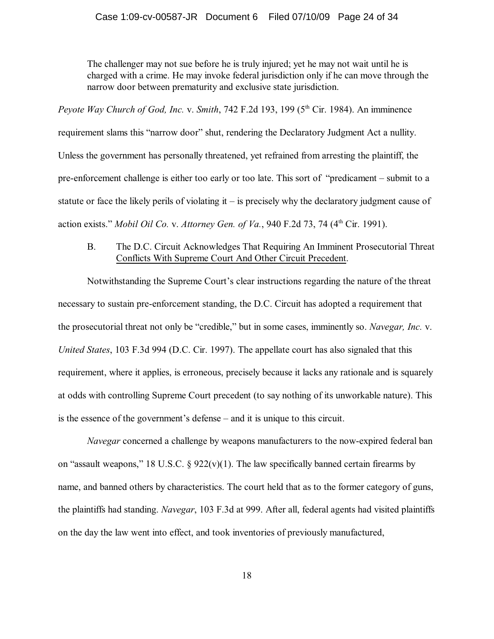The challenger may not sue before he is truly injured; yet he may not wait until he is charged with a crime. He may invoke federal jurisdiction only if he can move through the narrow door between prematurity and exclusive state jurisdiction.

*Peyote Way Church of God, Inc.* v. *Smith, 742 F.2d 193, 199 (5<sup>th</sup> Cir. 1984). An imminence* requirement slams this "narrow door" shut, rendering the Declaratory Judgment Act a nullity. Unless the government has personally threatened, yet refrained from arresting the plaintiff, the pre-enforcement challenge is either too early or too late. This sort of "predicament – submit to a statute or face the likely perils of violating it – is precisely why the declaratory judgment cause of action exists." *Mobil Oil Co. v. Attorney Gen. of Va.*, 940 F.2d 73, 74 (4<sup>th</sup> Cir. 1991).

## B. The D.C. Circuit Acknowledges That Requiring An Imminent Prosecutorial Threat Conflicts With Supreme Court And Other Circuit Precedent.

Notwithstanding the Supreme Court's clear instructions regarding the nature of the threat necessary to sustain pre-enforcement standing, the D.C. Circuit has adopted a requirement that the prosecutorial threat not only be "credible," but in some cases, imminently so. *Navegar, Inc.* v. *United States*, 103 F.3d 994 (D.C. Cir. 1997). The appellate court has also signaled that this requirement, where it applies, is erroneous, precisely because it lacks any rationale and is squarely at odds with controlling Supreme Court precedent (to say nothing of its unworkable nature). This is the essence of the government's defense – and it is unique to this circuit.

*Navegar* concerned a challenge by weapons manufacturers to the now-expired federal ban on "assault weapons," 18 U.S.C. § 922(v)(1). The law specifically banned certain firearms by name, and banned others by characteristics. The court held that as to the former category of guns, the plaintiffs had standing. *Navegar*, 103 F.3d at 999. After all, federal agents had visited plaintiffs on the day the law went into effect, and took inventories of previously manufactured,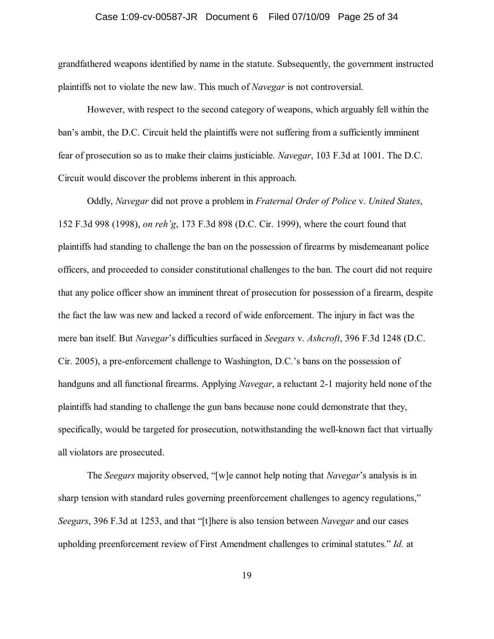#### Case 1:09-cv-00587-JR Document 6 Filed 07/10/09 Page 25 of 34

grandfathered weapons identified by name in the statute. Subsequently, the government instructed plaintiffs not to violate the new law. This much of *Navegar* is not controversial.

However, with respect to the second category of weapons, which arguably fell within the ban's ambit, the D.C. Circuit held the plaintiffs were not suffering from a sufficiently imminent fear of prosecution so as to make their claims justiciable. *Navegar*, 103 F.3d at 1001. The D.C. Circuit would discover the problems inherent in this approach.

Oddly, *Navegar* did not prove a problem in *Fraternal Order of Police* v. *United States*, 152 F.3d 998 (1998), *on reh'g*, 173 F.3d 898 (D.C. Cir. 1999), where the court found that plaintiffs had standing to challenge the ban on the possession of firearms by misdemeanant police officers, and proceeded to consider constitutional challenges to the ban. The court did not require that any police officer show an imminent threat of prosecution for possession of a firearm, despite the fact the law was new and lacked a record of wide enforcement. The injury in fact was the mere ban itself. But *Navegar*'s difficulties surfaced in *Seegars* v. *Ashcroft*, 396 F.3d 1248 (D.C. Cir. 2005), a pre-enforcement challenge to Washington, D.C.'s bans on the possession of handguns and all functional firearms. Applying *Navegar*, a reluctant 2-1 majority held none of the plaintiffs had standing to challenge the gun bans because none could demonstrate that they, specifically, would be targeted for prosecution, notwithstanding the well-known fact that virtually all violators are prosecuted.

The *Seegars* majority observed, "[w]e cannot help noting that *Navegar*'s analysis is in sharp tension with standard rules governing preenforcement challenges to agency regulations," *Seegars*, 396 F.3d at 1253, and that "[t]here is also tension between *Navegar* and our cases upholding preenforcement review of First Amendment challenges to criminal statutes." *Id.* at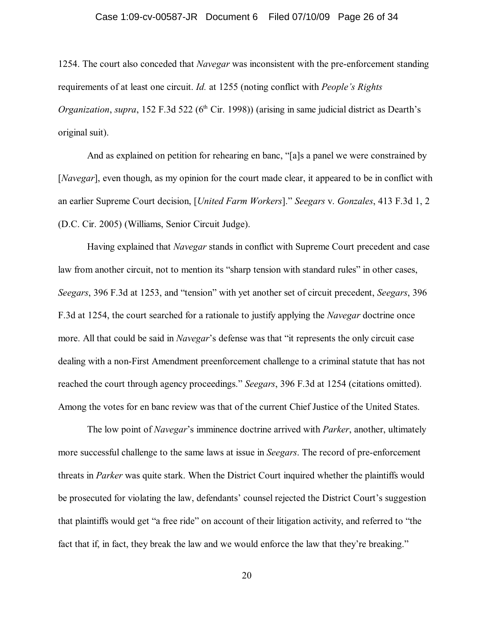1254. The court also conceded that *Navegar* was inconsistent with the pre-enforcement standing requirements of at least one circuit. *Id.* at 1255 (noting conflict with *People's Rights* Organization, supra, 152 F.3d 522 (6<sup>th</sup> Cir. 1998)) (arising in same judicial district as Dearth's original suit).

And as explained on petition for rehearing en banc, "[a]s a panel we were constrained by [*Navegar*], even though, as my opinion for the court made clear, it appeared to be in conflict with an earlier Supreme Court decision, [*United Farm Workers*]." *Seegars* v. *Gonzales*, 413 F.3d 1, 2 (D.C. Cir. 2005) (Williams, Senior Circuit Judge).

Having explained that *Navegar* stands in conflict with Supreme Court precedent and case law from another circuit, not to mention its "sharp tension with standard rules" in other cases, *Seegars*, 396 F.3d at 1253, and "tension" with yet another set of circuit precedent, *Seegars*, 396 F.3d at 1254, the court searched for a rationale to justify applying the *Navegar* doctrine once more. All that could be said in *Navegar*'s defense was that "it represents the only circuit case dealing with a non-First Amendment preenforcement challenge to a criminal statute that has not reached the court through agency proceedings." *Seegars*, 396 F.3d at 1254 (citations omitted). Among the votes for en banc review was that of the current Chief Justice of the United States.

The low point of *Navegar*'s imminence doctrine arrived with *Parker*, another, ultimately more successful challenge to the same laws at issue in *Seegars*. The record of pre-enforcement threats in *Parker* was quite stark. When the District Court inquired whether the plaintiffs would be prosecuted for violating the law, defendants' counsel rejected the District Court's suggestion that plaintiffs would get "a free ride" on account of their litigation activity, and referred to "the fact that if, in fact, they break the law and we would enforce the law that they're breaking."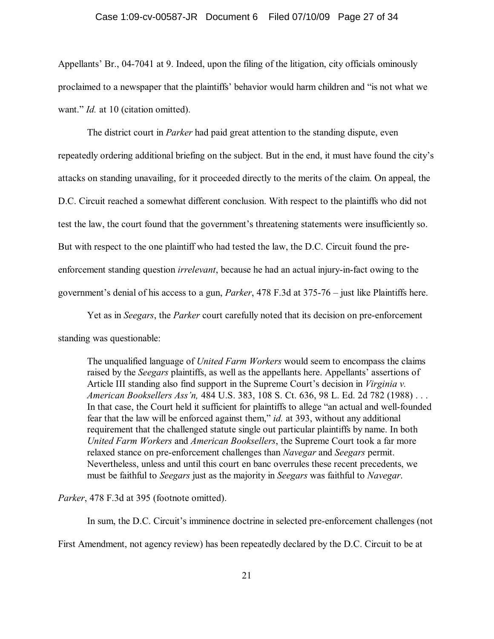#### Case 1:09-cv-00587-JR Document 6 Filed 07/10/09 Page 27 of 34

Appellants' Br., 04-7041 at 9. Indeed, upon the filing of the litigation, city officials ominously proclaimed to a newspaper that the plaintiffs' behavior would harm children and "is not what we want." *Id.* at 10 (citation omitted).

The district court in *Parker* had paid great attention to the standing dispute, even repeatedly ordering additional briefing on the subject. But in the end, it must have found the city's attacks on standing unavailing, for it proceeded directly to the merits of the claim. On appeal, the D.C. Circuit reached a somewhat different conclusion. With respect to the plaintiffs who did not test the law, the court found that the government's threatening statements were insufficiently so. But with respect to the one plaintiff who had tested the law, the D.C. Circuit found the preenforcement standing question *irrelevant*, because he had an actual injury-in-fact owing to the government's denial of his access to a gun, *Parker*, 478 F.3d at 375-76 – just like Plaintiffs here.

Yet as in *Seegars*, the *Parker* court carefully noted that its decision on pre-enforcement standing was questionable:

The unqualified language of *United Farm Workers* would seem to encompass the claims raised by the *Seegars* plaintiffs, as well as the appellants here. Appellants' assertions of Article III standing also find support in the Supreme Court's decision in *Virginia v. American Booksellers Ass'n,* 484 U.S. 383, 108 S. Ct. 636, 98 L. Ed. 2d 782 (1988) . . . In that case, the Court held it sufficient for plaintiffs to allege "an actual and well-founded fear that the law will be enforced against them," *id.* at 393, without any additional requirement that the challenged statute single out particular plaintiffs by name. In both *United Farm Workers* and *American Booksellers*, the Supreme Court took a far more relaxed stance on pre-enforcement challenges than *Navegar* and *Seegars* permit. Nevertheless, unless and until this court en banc overrules these recent precedents, we must be faithful to *Seegars* just as the majority in *Seegars* was faithful to *Navegar*.

*Parker*, 478 F.3d at 395 (footnote omitted).

In sum, the D.C. Circuit's imminence doctrine in selected pre-enforcement challenges (not First Amendment, not agency review) has been repeatedly declared by the D.C. Circuit to be at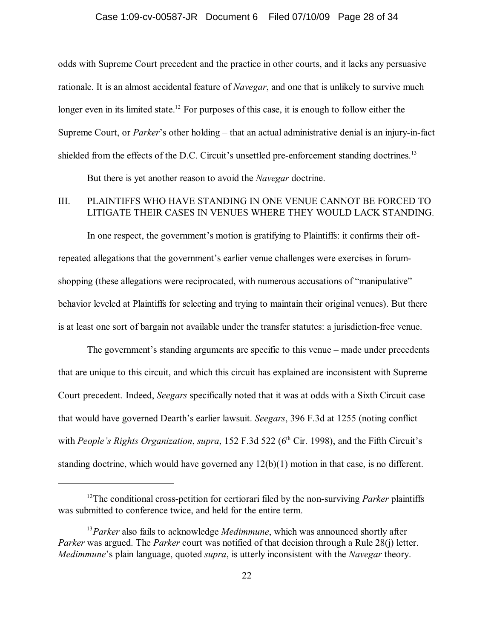#### Case 1:09-cv-00587-JR Document 6 Filed 07/10/09 Page 28 of 34

odds with Supreme Court precedent and the practice in other courts, and it lacks any persuasive rationale. It is an almost accidental feature of *Navegar*, and one that is unlikely to survive much longer even in its limited state.<sup>12</sup> For purposes of this case, it is enough to follow either the Supreme Court, or *Parker*'s other holding – that an actual administrative denial is an injury-in-fact shielded from the effects of the D.C. Circuit's unsettled pre-enforcement standing doctrines.<sup>13</sup>

But there is yet another reason to avoid the *Navegar* doctrine.

### III. PLAINTIFFS WHO HAVE STANDING IN ONE VENUE CANNOT BE FORCED TO LITIGATE THEIR CASES IN VENUES WHERE THEY WOULD LACK STANDING.

In one respect, the government's motion is gratifying to Plaintiffs: it confirms their oftrepeated allegations that the government's earlier venue challenges were exercises in forumshopping (these allegations were reciprocated, with numerous accusations of "manipulative" behavior leveled at Plaintiffs for selecting and trying to maintain their original venues). But there is at least one sort of bargain not available under the transfer statutes: a jurisdiction-free venue.

The government's standing arguments are specific to this venue – made under precedents that are unique to this circuit, and which this circuit has explained are inconsistent with Supreme Court precedent. Indeed, *Seegars* specifically noted that it was at odds with a Sixth Circuit case that would have governed Dearth's earlier lawsuit. *Seegars*, 396 F.3d at 1255 (noting conflict with *People's Rights Organization, supra,* 152 F.3d 522 (6<sup>th</sup> Cir. 1998), and the Fifth Circuit's standing doctrine, which would have governed any  $12(b)(1)$  motion in that case, is no different.

<sup>&</sup>lt;sup>12</sup>The conditional cross-petition for certiorari filed by the non-surviving *Parker* plaintiffs was submitted to conference twice, and held for the entire term.

<sup>&</sup>lt;sup>13</sup> Parker also fails to acknowledge *Medimmune*, which was announced shortly after *Parker* was argued. The *Parker* court was notified of that decision through a Rule 28(j) letter. *Medimmune*'s plain language, quoted *supra*, is utterly inconsistent with the *Navegar* theory.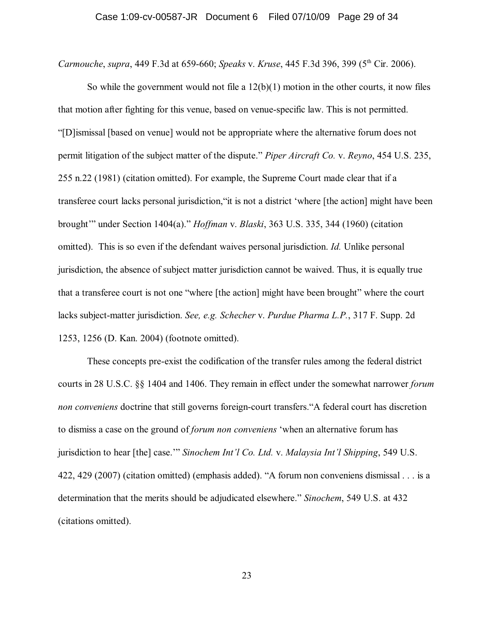*Carmouche, supra,* 449 F.3d at 659-660; *Speaks v. Kruse,* 445 F.3d 396, 399 (5<sup>th</sup> Cir. 2006).

So while the government would not file a  $12(b)(1)$  motion in the other courts, it now files that motion after fighting for this venue, based on venue-specific law. This is not permitted. "[D]ismissal [based on venue] would not be appropriate where the alternative forum does not permit litigation of the subject matter of the dispute." *Piper Aircraft Co.* v. *Reyno*, 454 U.S. 235, 255 n.22 (1981) (citation omitted). For example, the Supreme Court made clear that if a transferee court lacks personal jurisdiction,"it is not a district 'where [the action] might have been brought'" under Section 1404(a)." *Hoffman* v. *Blaski*, 363 U.S. 335, 344 (1960) (citation omitted). This is so even if the defendant waives personal jurisdiction. *Id.* Unlike personal jurisdiction, the absence of subject matter jurisdiction cannot be waived. Thus, it is equally true that a transferee court is not one "where [the action] might have been brought" where the court lacks subject-matter jurisdiction. *See, e.g. Schecher* v. *Purdue Pharma L.P.*, 317 F. Supp. 2d 1253, 1256 (D. Kan. 2004) (footnote omitted).

These concepts pre-exist the codification of the transfer rules among the federal district courts in 28 U.S.C. §§ 1404 and 1406. They remain in effect under the somewhat narrower *forum non conveniens* doctrine that still governs foreign-court transfers."A federal court has discretion to dismiss a case on the ground of *forum non conveniens* 'when an alternative forum has jurisdiction to hear [the] case.'" *Sinochem Int'l Co. Ltd.* v. *Malaysia Int'l Shipping*, 549 U.S. 422, 429 (2007) (citation omitted) (emphasis added). "A forum non conveniens dismissal . . . is a determination that the merits should be adjudicated elsewhere." *Sinochem*, 549 U.S. at 432 (citations omitted).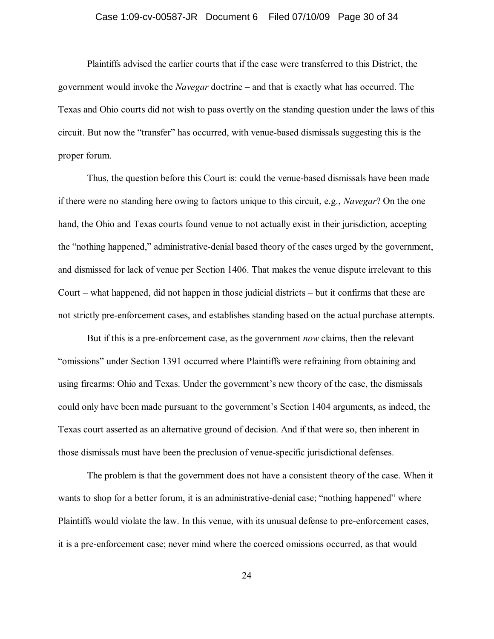#### Case 1:09-cv-00587-JR Document 6 Filed 07/10/09 Page 30 of 34

Plaintiffs advised the earlier courts that if the case were transferred to this District, the government would invoke the *Navegar* doctrine – and that is exactly what has occurred. The Texas and Ohio courts did not wish to pass overtly on the standing question under the laws of this circuit. But now the "transfer" has occurred, with venue-based dismissals suggesting this is the proper forum.

Thus, the question before this Court is: could the venue-based dismissals have been made if there were no standing here owing to factors unique to this circuit, e.g., *Navegar*? On the one hand, the Ohio and Texas courts found venue to not actually exist in their jurisdiction, accepting the "nothing happened," administrative-denial based theory of the cases urged by the government, and dismissed for lack of venue per Section 1406. That makes the venue dispute irrelevant to this Court – what happened, did not happen in those judicial districts – but it confirms that these are not strictly pre-enforcement cases, and establishes standing based on the actual purchase attempts.

But if this is a pre-enforcement case, as the government *now* claims, then the relevant "omissions" under Section 1391 occurred where Plaintiffs were refraining from obtaining and using firearms: Ohio and Texas. Under the government's new theory of the case, the dismissals could only have been made pursuant to the government's Section 1404 arguments, as indeed, the Texas court asserted as an alternative ground of decision. And if that were so, then inherent in those dismissals must have been the preclusion of venue-specific jurisdictional defenses.

The problem is that the government does not have a consistent theory of the case. When it wants to shop for a better forum, it is an administrative-denial case; "nothing happened" where Plaintiffs would violate the law. In this venue, with its unusual defense to pre-enforcement cases, it is a pre-enforcement case; never mind where the coerced omissions occurred, as that would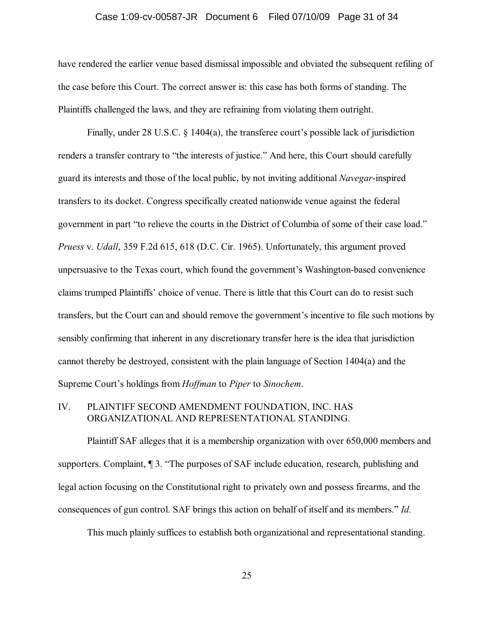#### Case 1:09-cv-00587-JR Document 6 Filed 07/10/09 Page 31 of 34

have rendered the earlier venue based dismissal impossible and obviated the subsequent refiling of the case before this Court. The correct answer is: this case has both forms of standing. The Plaintiffs challenged the laws, and they are refraining from violating them outright.

Finally, under 28 U.S.C. § 1404(a), the transferee court's possible lack of jurisdiction renders a transfer contrary to "the interests of justice." And here, this Court should carefully guard its interests and those of the local public, by not inviting additional *Navegar*-inspired transfers to its docket. Congress specifically created nationwide venue against the federal government in part "to relieve the courts in the District of Columbia of some of their case load." *Pruess* v. *Udall*, 359 F.2d 615, 618 (D.C. Cir. 1965). Unfortunately, this argument proved unpersuasive to the Texas court, which found the government's Washington-based convenience claims trumped Plaintiffs' choice of venue. There is little that this Court can do to resist such transfers, but the Court can and should remove the government's incentive to file such motions by sensibly confirming that inherent in any discretionary transfer here is the idea that jurisdiction cannot thereby be destroyed, consistent with the plain language of Section 1404(a) and the Supreme Court's holdings from *Hoffman* to *Piper* to *Sinochem*.

## IV. PLAINTIFF SECOND AMENDMENT FOUNDATION, INC. HAS ORGANIZATIONAL AND REPRESENTATIONAL STANDING.

Plaintiff SAF alleges that it is a membership organization with over 650,000 members and supporters. Complaint, ¶ 3. "The purposes of SAF include education, research, publishing and legal action focusing on the Constitutional right to privately own and possess firearms, and the consequences of gun control. SAF brings this action on behalf of itself and its members." *Id.*

This much plainly suffices to establish both organizational and representational standing.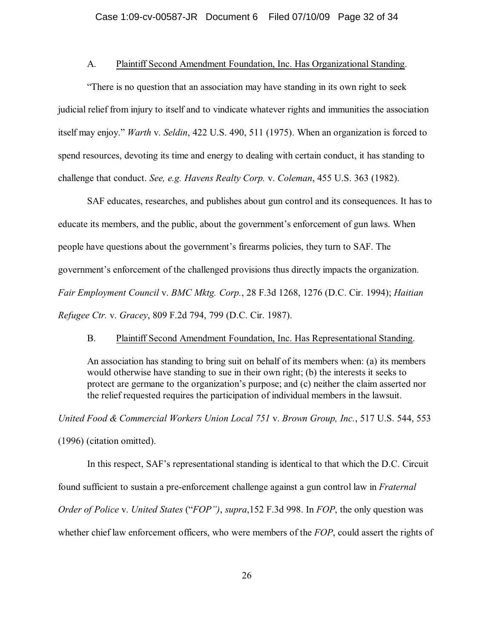#### A. Plaintiff Second Amendment Foundation, Inc. Has Organizational Standing.

"There is no question that an association may have standing in its own right to seek judicial relief from injury to itself and to vindicate whatever rights and immunities the association itself may enjoy." *Warth* v. *Seldin*, 422 U.S. 490, 511 (1975). When an organization is forced to spend resources, devoting its time and energy to dealing with certain conduct, it has standing to challenge that conduct. *See, e.g. Havens Realty Corp.* v. *Coleman*, 455 U.S. 363 (1982).

SAF educates, researches, and publishes about gun control and its consequences. It has to educate its members, and the public, about the government's enforcement of gun laws. When people have questions about the government's firearms policies, they turn to SAF. The government's enforcement of the challenged provisions thus directly impacts the organization. *Fair Employment Council* v. *BMC Mktg. Corp.*, 28 F.3d 1268, 1276 (D.C. Cir. 1994); *Haitian Refugee Ctr.* v. *Gracey*, 809 F.2d 794, 799 (D.C. Cir. 1987).

#### B. Plaintiff Second Amendment Foundation, Inc. Has Representational Standing.

An association has standing to bring suit on behalf of its members when: (a) its members would otherwise have standing to sue in their own right; (b) the interests it seeks to protect are germane to the organization's purpose; and (c) neither the claim asserted nor the relief requested requires the participation of individual members in the lawsuit.

*United Food & Commercial Workers Union Local 751* v. *Brown Group, Inc.*, 517 U.S. 544, 553 (1996) (citation omitted).

In this respect, SAF's representational standing is identical to that which the D.C. Circuit found sufficient to sustain a pre-enforcement challenge against a gun control law in *Fraternal Order of Police* v. *United States* ("*FOP")*, *supra*,152 F.3d 998. In *FOP*, the only question was whether chief law enforcement officers, who were members of the *FOP*, could assert the rights of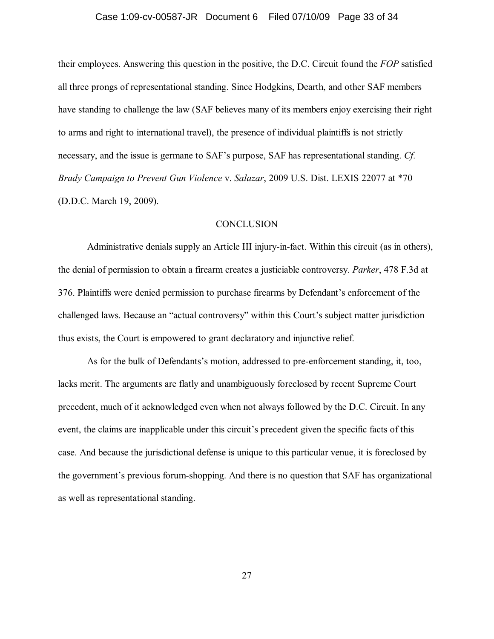#### Case 1:09-cv-00587-JR Document 6 Filed 07/10/09 Page 33 of 34

their employees. Answering this question in the positive, the D.C. Circuit found the *FOP* satisfied all three prongs of representational standing. Since Hodgkins, Dearth, and other SAF members have standing to challenge the law (SAF believes many of its members enjoy exercising their right to arms and right to international travel), the presence of individual plaintiffs is not strictly necessary, and the issue is germane to SAF's purpose, SAF has representational standing. *Cf. Brady Campaign to Prevent Gun Violence* v. *Salazar*, 2009 U.S. Dist. LEXIS 22077 at \*70 (D.D.C. March 19, 2009).

#### **CONCLUSION**

Administrative denials supply an Article III injury-in-fact. Within this circuit (as in others), the denial of permission to obtain a firearm creates a justiciable controversy. *Parker*, 478 F.3d at 376. Plaintiffs were denied permission to purchase firearms by Defendant's enforcement of the challenged laws. Because an "actual controversy" within this Court's subject matter jurisdiction thus exists, the Court is empowered to grant declaratory and injunctive relief.

As for the bulk of Defendants's motion, addressed to pre-enforcement standing, it, too, lacks merit. The arguments are flatly and unambiguously foreclosed by recent Supreme Court precedent, much of it acknowledged even when not always followed by the D.C. Circuit. In any event, the claims are inapplicable under this circuit's precedent given the specific facts of this case. And because the jurisdictional defense is unique to this particular venue, it is foreclosed by the government's previous forum-shopping. And there is no question that SAF has organizational as well as representational standing.